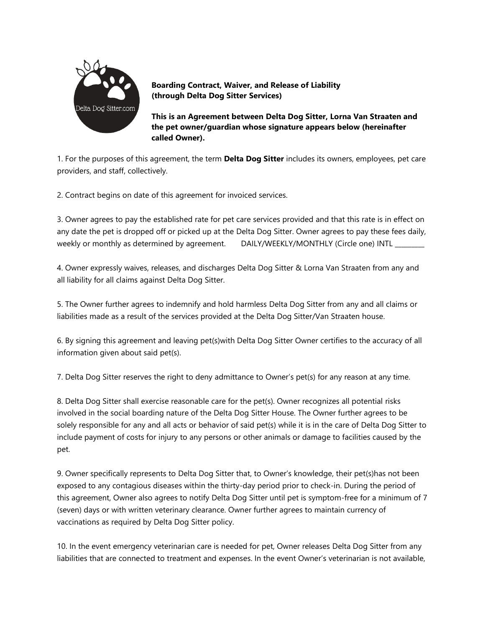

**Boarding Contract, Waiver, and Release of Liability (through Delta Dog Sitter Services)**

**This is an Agreement between Delta Dog Sitter, Lorna Van Straaten and the pet owner/guardian whose signature appears below (hereinafter called Owner).** 

1. For the purposes of this agreement, the term **Delta Dog Sitter** includes its owners, employees, pet care providers, and staff, collectively.

2. Contract begins on date of this agreement for invoiced services.

3. Owner agrees to pay the established rate for pet care services provided and that this rate is in effect on any date the pet is dropped off or picked up at the Delta Dog Sitter. Owner agrees to pay these fees daily, weekly or monthly as determined by agreement. DAILY/WEEKLY/MONTHLY (Circle one) INTL \_

4. Owner expressly waives, releases, and discharges Delta Dog Sitter & Lorna Van Straaten from any and all liability for all claims against Delta Dog Sitter.

5. The Owner further agrees to indemnify and hold harmless Delta Dog Sitter from any and all claims or liabilities made as a result of the services provided at the Delta Dog Sitter/Van Straaten house.

6. By signing this agreement and leaving pet(s)with Delta Dog Sitter Owner certifies to the accuracy of all information given about said pet(s).

7. Delta Dog Sitter reserves the right to deny admittance to Owner's pet(s) for any reason at any time.

8. Delta Dog Sitter shall exercise reasonable care for the pet(s). Owner recognizes all potential risks involved in the social boarding nature of the Delta Dog Sitter House. The Owner further agrees to be solely responsible for any and all acts or behavior of said pet(s) while it is in the care of Delta Dog Sitter to include payment of costs for injury to any persons or other animals or damage to facilities caused by the pet.

9. Owner specifically represents to Delta Dog Sitter that, to Owner's knowledge, their pet(s)has not been exposed to any contagious diseases within the thirty-day period prior to check-in. During the period of this agreement, Owner also agrees to notify Delta Dog Sitter until pet is symptom-free for a minimum of 7 (seven) days or with written veterinary clearance. Owner further agrees to maintain currency of vaccinations as required by Delta Dog Sitter policy.

10. In the event emergency veterinarian care is needed for pet, Owner releases Delta Dog Sitter from any liabilities that are connected to treatment and expenses. In the event Owner's veterinarian is not available,